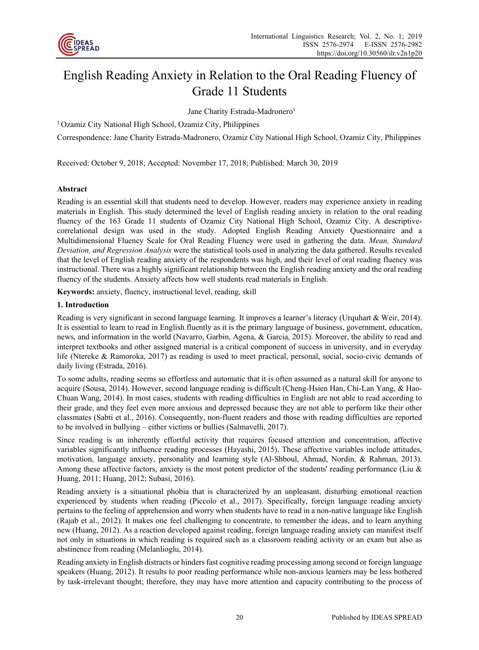

# English Reading Anxiety in Relation to the Oral Reading Fluency of Grade 11 Students

Jane Charity Estrada-Madronero<sup>1</sup>

1 Ozamiz City National High School, Ozamiz City, Philippines

Correspondence: Jane Charity Estrada-Madronero, Ozamiz City National High School, Ozamiz City, Philippines

Received: October 9, 2018; Accepted: November 17, 2018; Published: March 30, 2019

# **Abstract**

Reading is an essential skill that students need to develop. However, readers may experience anxiety in reading materials in English. This study determined the level of English reading anxiety in relation to the oral reading fluency of the 163 Grade 11 students of Ozamiz City National High School, Ozamiz City. A descriptivecorrelational design was used in the study. Adopted English Reading Anxiety Questionnaire and a Multidimensional Fluency Scale for Oral Reading Fluency were used in gathering the data. *Mean, Standard Deviation, and Regression Analysis* were the statistical tools used in analyzing the data gathered. Results revealed that the level of English reading anxiety of the respondents was high, and their level of oral reading fluency was instructional. There was a highly significant relationship between the English reading anxiety and the oral reading fluency of the students. Anxiety affects how well students read materials in English.

**Keywords:** anxiety, fluency, instructional level, reading, skill

## **1. Introduction**

Reading is very significant in second language learning. It improves a learner's literacy (Urquhart & Weir, 2014). It is essential to learn to read in English fluently as it is the primary language of business, government, education, news, and information in the world (Navarro, Garbin, Agena, & Garcia, 2015). Moreover, the ability to read and interpret textbooks and other assigned material is a critical component of success in university, and in everyday life (Ntereke & Ramoroka, 2017) as reading is used to meet practical, personal, social, socio-civic demands of daily living (Estrada, 2016).

To some adults, reading seems so effortless and automatic that it is often assumed as a natural skill for anyone to acquire (Sousa, 2014). However, second language reading is difficult (Cheng-Hsien Han, Chi-Lan Yang, & Hao-Chuan Wang, 2014). In most cases, students with reading difficulties in English are not able to read according to their grade, and they feel even more anxious and depressed because they are not able to perform like their other classmates (Sabti et al., 2016). Consequently, non-fluent readers and those with reading difficulties are reported to be involved in bullying – either victims or bullies (Salmavelli, 2017).

Since reading is an inherently effortful activity that requires focused attention and concentration, affective variables significantly influence reading processes (Hayashi, 2015). These affective variables include attitudes, motivation, language anxiety, personality and learning style (Al-Shboul, Ahmad, Nordin, & Rahman, 2013). Among these affective factors, anxiety is the most potent predictor of the students' reading performance (Liu & Huang, 2011; Huang, 2012; Subasi, 2016).

Reading anxiety is a situational phobia that is characterized by an unpleasant, disturbing emotional reaction experienced by students when reading (Piccolo et al., 2017). Specifically, foreign language reading anxiety pertains to the feeling of apprehension and worry when students have to read in a non-native language like English (Rajab et al., 2012). It makes one feel challenging to concentrate, to remember the ideas, and to learn anything new (Huang, 2012). As a reaction developed against reading, foreign language reading anxiety can manifest itself not only in situations in which reading is required such as a classroom reading activity or an exam but also as abstinence from reading (Melanlioglu, 2014).

Reading anxiety in English distracts or hinders fast cognitive reading processing among second or foreign language speakers (Huang, 2012). It results to poor reading performance while non-anxious learners may be less bothered by task-irrelevant thought; therefore, they may have more attention and capacity contributing to the process of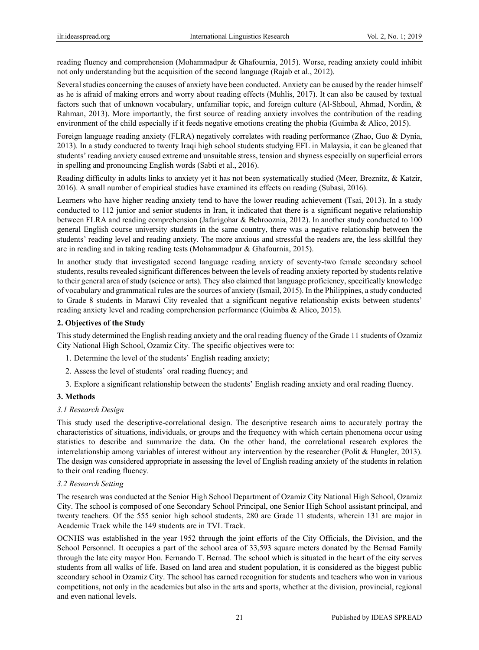reading fluency and comprehension (Mohammadpur & Ghafournia, 2015). Worse, reading anxiety could inhibit not only understanding but the acquisition of the second language (Rajab et al., 2012).

Several studies concerning the causes of anxiety have been conducted. Anxiety can be caused by the reader himself as he is afraid of making errors and worry about reading effects (Muhlis, 2017). It can also be caused by textual factors such that of unknown vocabulary, unfamiliar topic, and foreign culture (Al-Shboul, Ahmad, Nordin, & Rahman, 2013). More importantly, the first source of reading anxiety involves the contribution of the reading environment of the child especially if it feeds negative emotions creating the phobia (Guimba & Alico, 2015).

Foreign language reading anxiety (FLRA) negatively correlates with reading performance (Zhao, Guo & Dynia, 2013). In a study conducted to twenty Iraqi high school students studying EFL in Malaysia, it can be gleaned that students' reading anxiety caused extreme and unsuitable stress, tension and shyness especially on superficial errors in spelling and pronouncing English words (Sabti et al., 2016).

Reading difficulty in adults links to anxiety yet it has not been systematically studied (Meer, Breznitz, & Katzir, 2016). A small number of empirical studies have examined its effects on reading (Subasi, 2016).

Learners who have higher reading anxiety tend to have the lower reading achievement (Tsai, 2013). In a study conducted to 112 junior and senior students in Iran, it indicated that there is a significant negative relationship between FLRA and reading comprehension (Jafarigohar & Behrooznia, 2012). In another study conducted to 100 general English course university students in the same country, there was a negative relationship between the students' reading level and reading anxiety. The more anxious and stressful the readers are, the less skillful they are in reading and in taking reading tests (Mohammadpur & Ghafournia, 2015).

In another study that investigated second language reading anxiety of seventy-two female secondary school students, results revealed significant differences between the levels of reading anxiety reported by students relative to their general area of study (science or arts). They also claimed that language proficiency, specifically knowledge of vocabulary and grammatical rules are the sources of anxiety (Ismail, 2015). In the Philippines, a study conducted to Grade 8 students in Marawi City revealed that a significant negative relationship exists between students' reading anxiety level and reading comprehension performance (Guimba & Alico, 2015).

## **2. Objectives of the Study**

This study determined the English reading anxiety and the oral reading fluency of the Grade 11 students of Ozamiz City National High School, Ozamiz City. The specific objectives were to:

- 1. Determine the level of the students' English reading anxiety;
- 2. Assess the level of students' oral reading fluency; and
- 3. Explore a significant relationship between the students' English reading anxiety and oral reading fluency.

#### **3. Methods**

#### *3.1 Research Design*

This study used the descriptive-correlational design. The descriptive research aims to accurately portray the characteristics of situations, individuals, or groups and the frequency with which certain phenomena occur using statistics to describe and summarize the data. On the other hand, the correlational research explores the interrelationship among variables of interest without any intervention by the researcher (Polit & Hungler, 2013). The design was considered appropriate in assessing the level of English reading anxiety of the students in relation to their oral reading fluency.

#### *3.2 Research Setting*

The research was conducted at the Senior High School Department of Ozamiz City National High School, Ozamiz City. The school is composed of one Secondary School Principal, one Senior High School assistant principal, and twenty teachers. Of the 555 senior high school students, 280 are Grade 11 students, wherein 131 are major in Academic Track while the 149 students are in TVL Track.

OCNHS was established in the year 1952 through the joint efforts of the City Officials, the Division, and the School Personnel. It occupies a part of the school area of 33,593 square meters donated by the Bernad Family through the late city mayor Hon. Fernando T. Bernad. The school which is situated in the heart of the city serves students from all walks of life. Based on land area and student population, it is considered as the biggest public secondary school in Ozamiz City. The school has earned recognition for students and teachers who won in various competitions, not only in the academics but also in the arts and sports, whether at the division, provincial, regional and even national levels.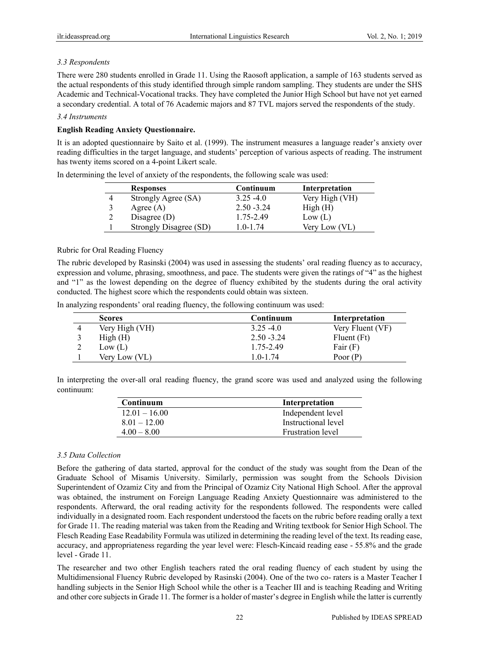# *3.3 Respondents*

There were 280 students enrolled in Grade 11. Using the Raosoft application, a sample of 163 students served as the actual respondents of this study identified through simple random sampling. They students are under the SHS Academic and Technical-Vocational tracks. They have completed the Junior High School but have not yet earned a secondary credential. A total of 76 Academic majors and 87 TVL majors served the respondents of the study.

## *3.4 Instruments*

# **English Reading Anxiety Questionnaire.**

It is an adopted questionnaire by Saito et al. (1999). The instrument measures a language reader's anxiety over reading difficulties in the target language, and students' perception of various aspects of reading. The instrument has twenty items scored on a 4-point Likert scale.

|   | <b>Responses</b>              | Continuum     | Interpretation |
|---|-------------------------------|---------------|----------------|
| 4 | Strongly Agree (SA)           | $3.25 - 4.0$  | Very High (VH) |
|   | Agree $(A)$                   | $2.50 - 3.24$ | High(H)        |
| າ | Disagree $(D)$                | 1.75-2.49     | Low (L)        |
|   | <b>Strongly Disagree (SD)</b> | $1.0 - 1.74$  | Very Low (VL)  |

In determining the level of anxiety of the respondents, the following scale was used:

# Rubric for Oral Reading Fluency

The rubric developed by Rasinski (2004) was used in assessing the students' oral reading fluency as to accuracy, expression and volume, phrasing, smoothness, and pace. The students were given the ratings of "4" as the highest and "1" as the lowest depending on the degree of fluency exhibited by the students during the oral activity conducted. The highest score which the respondents could obtain was sixteen.

In analyzing respondents' oral reading fluency, the following continuum was used:

| <b>Scores</b>  | Continuum     | Interpretation   |
|----------------|---------------|------------------|
| Very High (VH) | $3.25 - 4.0$  | Very Fluent (VF) |
| High(H)        | $2.50 - 3.24$ | Fluent (Ft)      |
| Low (L)        | 1.75-2.49     | Fair $(F)$       |
| Very Low (VL)  | 1.0-1.74      | Poor $(P)$       |

In interpreting the over-all oral reading fluency, the grand score was used and analyzed using the following continuum:

| Continuum       | Interpretation           |
|-----------------|--------------------------|
| $12.01 - 16.00$ | Independent level        |
| $8.01 - 12.00$  | Instructional level      |
| $4.00 - 8.00$   | <b>Frustration level</b> |

# *3.5 Data Collection*

Before the gathering of data started, approval for the conduct of the study was sought from the Dean of the Graduate School of Misamis University. Similarly, permission was sought from the Schools Division Superintendent of Ozamiz City and from the Principal of Ozamiz City National High School. After the approval was obtained, the instrument on Foreign Language Reading Anxiety Questionnaire was administered to the respondents. Afterward, the oral reading activity for the respondents followed. The respondents were called individually in a designated room. Each respondent understood the facets on the rubric before reading orally a text for Grade 11. The reading material was taken from the Reading and Writing textbook for Senior High School. The Flesch Reading Ease Readability Formula was utilized in determining the reading level of the text. Its reading ease, accuracy, and appropriateness regarding the year level were: Flesch-Kincaid reading ease - 55.8% and the grade level - Grade 11.

The researcher and two other English teachers rated the oral reading fluency of each student by using the Multidimensional Fluency Rubric developed by Rasinski (2004). One of the two co- raters is a Master Teacher I handling subjects in the Senior High School while the other is a Teacher III and is teaching Reading and Writing and other core subjects in Grade 11. The former is a holder of master's degree in English while the latter is currently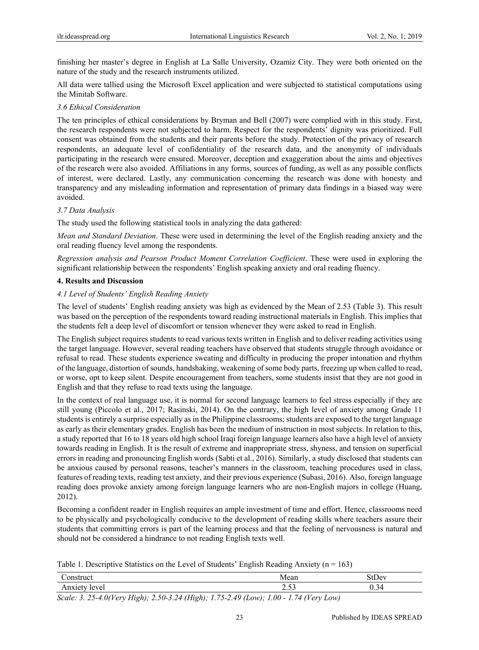finishing her master's degree in English at La Salle University, Ozamiz City. They were both oriented on the nature of the study and the research instruments utilized.

All data were tallied using the Microsoft Excel application and were subjected to statistical computations using the Minitab Software.

# *3.6 Ethical Consideration*

The ten principles of ethical considerations by Bryman and Bell (2007) were complied with in this study. First, the research respondents were not subjected to harm. Respect for the respondents' dignity was prioritized. Full consent was obtained from the students and their parents before the study. Protection of the privacy of research respondents, an adequate level of confidentiality of the research data, and the anonymity of individuals participating in the research were ensured. Moreover, deception and exaggeration about the aims and objectives of the research were also avoided. Affiliations in any forms, sources of funding, as well as any possible conflicts of interest, were declared. Lastly, any communication concerning the research was done with honesty and transparency and any misleading information and representation of primary data findings in a biased way were avoided.

## *3.7 Data Analysis*

The study used the following statistical tools in analyzing the data gathered:

*Mean and Standard Deviation*. These were used in determining the level of the English reading anxiety and the oral reading fluency level among the respondents.

*Regression analysis and Pearson Product Moment Correlation Coefficient*. These were used in exploring the significant relationship between the respondents' English speaking anxiety and oral reading fluency.

## **4. Results and Discussion**

## *4.1 Level of Students' English Reading Anxiety*

The level of students' English reading anxiety was high as evidenced by the Mean of 2.53 (Table 3). This result was based on the perception of the respondents toward reading instructional materials in English. This implies that the students felt a deep level of discomfort or tension whenever they were asked to read in English.

The English subject requires students to read various texts written in English and to deliver reading activities using the target language. However, several reading teachers have observed that students struggle through avoidance or refusal to read. These students experience sweating and difficulty in producing the proper intonation and rhythm of the language, distortion of sounds, handshaking, weakening of some body parts, freezing up when called to read, or worse, opt to keep silent. Despite encouragement from teachers, some students insist that they are not good in English and that they refuse to read texts using the language.

In the context of real language use, it is normal for second language learners to feel stress especially if they are still young (Piccolo et al., 2017; Rasinski, 2014). On the contrary, the high level of anxiety among Grade 11 students is entirely a surprise especially as in the Philippine classrooms; students are exposed to the target language as early as their elementary grades. English has been the medium of instruction in most subjects. In relation to this, a study reported that 16 to 18 years old high school Iraqi foreign language learners also have a high level of anxiety towards reading in English. It is the result of extreme and inappropriate stress, shyness, and tension on superficial errors in reading and pronouncing English words (Sabti et al., 2016). Similarly, a study disclosed that students can be anxious caused by personal reasons, teacher's manners in the classroom, teaching procedures used in class, features of reading texts, reading test anxiety, and their previous experience (Subasi, 2016). Also, foreign language reading does provoke anxiety among foreign language learners who are non-English majors in college (Huang, 2012).

Becoming a confident reader in English requires an ample investment of time and effort. Hence, classrooms need to be physically and psychologically conducive to the development of reading skills where teachers assure their students that committing errors is part of the learning process and that the feeling of nervousness is natural and should not be considered a hindrance to not reading English texts well.

Table 1. Descriptive Statistics on the Level of Students' English Reading Anxiety ( $n = 163$ )

| onstruct              |                                                                                                                                                                                                                                                                                                                                    | Mean         | StDev |
|-----------------------|------------------------------------------------------------------------------------------------------------------------------------------------------------------------------------------------------------------------------------------------------------------------------------------------------------------------------------|--------------|-------|
| Anxiety<br>level      |                                                                                                                                                                                                                                                                                                                                    | $-$<br>ر ر.ر | ∪.⊃   |
| 2.27<br>$\sim$ $\sim$ | $\mathbf{F}$ $\mathbf{F}$ $\mathbf{F}$ $\mathbf{F}$ $\mathbf{F}$ $\mathbf{F}$ $\mathbf{F}$ $\mathbf{F}$ $\mathbf{F}$ $\mathbf{F}$ $\mathbf{F}$ $\mathbf{F}$ $\mathbf{F}$ $\mathbf{F}$ $\mathbf{F}$ $\mathbf{F}$ $\mathbf{F}$ $\mathbf{F}$ $\mathbf{F}$ $\mathbf{F}$ $\mathbf{F}$ $\mathbf{F}$ $\mathbf{F}$ $\mathbf{F}$ $\mathbf{$ | 1.00.171     |       |

*Scale: 3. 25-4.0(Very High); 2.50-3.24 (High); 1.75-2.49 (Low); 1.00 - 1.74 (Very Low)*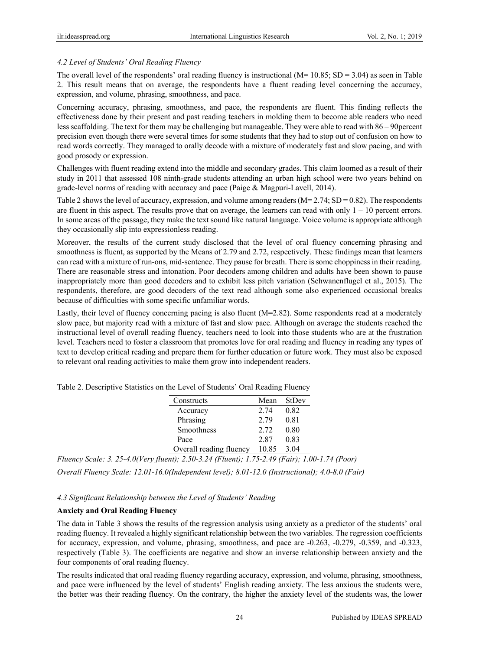# *4.2 Level of Students' Oral Reading Fluency*

The overall level of the respondents' oral reading fluency is instructional ( $M= 10.85$ ; SD = 3.04) as seen in Table 2. This result means that on average, the respondents have a fluent reading level concerning the accuracy, expression, and volume, phrasing, smoothness, and pace.

Concerning accuracy, phrasing, smoothness, and pace, the respondents are fluent. This finding reflects the effectiveness done by their present and past reading teachers in molding them to become able readers who need less scaffolding. The text for them may be challenging but manageable. They were able to read with 86 – 90percent precision even though there were several times for some students that they had to stop out of confusion on how to read words correctly. They managed to orally decode with a mixture of moderately fast and slow pacing, and with good prosody or expression.

Challenges with fluent reading extend into the middle and secondary grades. This claim loomed as a result of their study in 2011 that assessed 108 ninth-grade students attending an urban high school were two years behind on grade-level norms of reading with accuracy and pace (Paige & Magpuri-Lavell, 2014).

Table 2 shows the level of accuracy, expression, and volume among readers (M= 2.74; SD = 0.82). The respondents are fluent in this aspect. The results prove that on average, the learners can read with only  $1 - 10$  percent errors. In some areas of the passage, they make the text sound like natural language. Voice volume is appropriate although they occasionally slip into expressionless reading.

Moreover, the results of the current study disclosed that the level of oral fluency concerning phrasing and smoothness is fluent, as supported by the Means of 2.79 and 2.72, respectively. These findings mean that learners can read with a mixture of run-ons, mid-sentence. They pause for breath. There is some choppiness in their reading. There are reasonable stress and intonation. Poor decoders among children and adults have been shown to pause inappropriately more than good decoders and to exhibit less pitch variation (Schwanenflugel et al., 2015). The respondents, therefore, are good decoders of the text read although some also experienced occasional breaks because of difficulties with some specific unfamiliar words.

Lastly, their level of fluency concerning pacing is also fluent (M=2.82). Some respondents read at a moderately slow pace, but majority read with a mixture of fast and slow pace. Although on average the students reached the instructional level of overall reading fluency, teachers need to look into those students who are at the frustration level. Teachers need to foster a classroom that promotes love for oral reading and fluency in reading any types of text to develop critical reading and prepare them for further education or future work. They must also be exposed to relevant oral reading activities to make them grow into independent readers.

| Constructs              | Mean  | StDev |
|-------------------------|-------|-------|
| Accuracy                | 2.74  | 0.82  |
| Phrasing                | 2.79  | 0.81  |
| Smoothness              | 2.72  | 0.80  |
| Pace                    | 2.87  | 0.83  |
| Overall reading fluency | 10.85 | 3.04  |

Table 2. Descriptive Statistics on the Level of Students' Oral Reading Fluency

*Fluency Scale: 3. 25-4.0(Very fluent); 2.50-3.24 (Fluent); 1.75-2.49 (Fair); 1.00-1.74 (Poor) Overall Fluency Scale: 12.01-16.0(Independent level); 8.01-12.0 (Instructional); 4.0-8.0 (Fair)* 

# *4.3 Significant Relationship between the Level of Students' Reading*

# **Anxiety and Oral Reading Fluency**

The data in Table 3 shows the results of the regression analysis using anxiety as a predictor of the students' oral reading fluency. It revealed a highly significant relationship between the two variables. The regression coefficients for accuracy, expression, and volume, phrasing, smoothness, and pace are -0.263, -0.279, -0.359, and -0.323, respectively (Table 3). The coefficients are negative and show an inverse relationship between anxiety and the four components of oral reading fluency.

The results indicated that oral reading fluency regarding accuracy, expression, and volume, phrasing, smoothness, and pace were influenced by the level of students' English reading anxiety. The less anxious the students were, the better was their reading fluency. On the contrary, the higher the anxiety level of the students was, the lower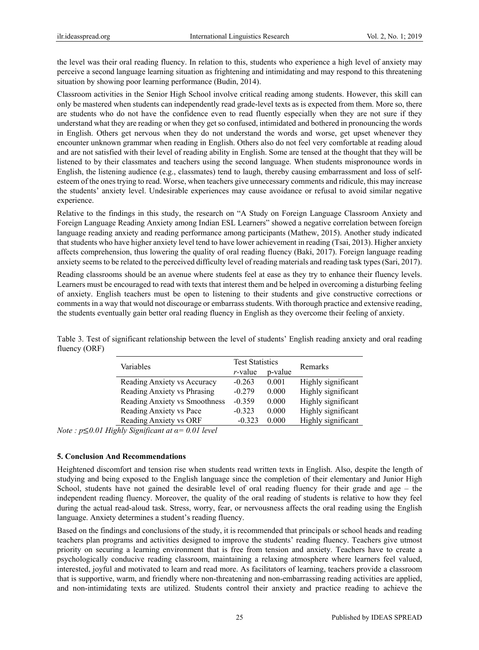the level was their oral reading fluency. In relation to this, students who experience a high level of anxiety may perceive a second language learning situation as frightening and intimidating and may respond to this threatening situation by showing poor learning performance (Budin, 2014).

Classroom activities in the Senior High School involve critical reading among students. However, this skill can only be mastered when students can independently read grade-level texts as is expected from them. More so, there are students who do not have the confidence even to read fluently especially when they are not sure if they understand what they are reading or when they get so confused, intimidated and bothered in pronouncing the words in English. Others get nervous when they do not understand the words and worse, get upset whenever they encounter unknown grammar when reading in English. Others also do not feel very comfortable at reading aloud and are not satisfied with their level of reading ability in English. Some are tensed at the thought that they will be listened to by their classmates and teachers using the second language. When students mispronounce words in English, the listening audience (e.g., classmates) tend to laugh, thereby causing embarrassment and loss of selfesteem of the ones trying to read. Worse, when teachers give unnecessary comments and ridicule, this may increase the students' anxiety level. Undesirable experiences may cause avoidance or refusal to avoid similar negative experience.

Relative to the findings in this study, the research on "A Study on Foreign Language Classroom Anxiety and Foreign Language Reading Anxiety among Indian ESL Learners" showed a negative correlation between foreign language reading anxiety and reading performance among participants (Mathew, 2015). Another study indicated that students who have higher anxiety level tend to have lower achievement in reading (Tsai, 2013). Higher anxiety affects comprehension, thus lowering the quality of oral reading fluency (Baki, 2017). Foreign language reading anxiety seems to be related to the perceived difficulty level of reading materials and reading task types (Sari, 2017).

Reading classrooms should be an avenue where students feel at ease as they try to enhance their fluency levels. Learners must be encouraged to read with texts that interest them and be helped in overcoming a disturbing feeling of anxiety. English teachers must be open to listening to their students and give constructive corrections or comments in a way that would not discourage or embarrass students. With thorough practice and extensive reading, the students eventually gain better oral reading fluency in English as they overcome their feeling of anxiety.

|                               | <b>Test Statistics</b> |         |                    |  |
|-------------------------------|------------------------|---------|--------------------|--|
| Variables                     | $r$ -value             | p-value | Remarks            |  |
| Reading Anxiety vs Accuracy   | $-0.263$               | 0.001   | Highly significant |  |
| Reading Anxiety vs Phrasing   | $-0.279$               | 0.000   | Highly significant |  |
| Reading Anxiety vs Smoothness | $-0.359$               | 0.000   | Highly significant |  |
| Reading Anxiety vs Pace       | $-0.323$               | 0.000   | Highly significant |  |
| Reading Anxiety vs ORF        | $-0.323$               | 0.000   | Highly significant |  |

Table 3. Test of significant relationship between the level of students' English reading anxiety and oral reading fluency (ORF)

*Note : p*≤*0.01 Highly Significant at α= 0.01 level* 

#### **5. Conclusion And Recommendations**

Heightened discomfort and tension rise when students read written texts in English. Also, despite the length of studying and being exposed to the English language since the completion of their elementary and Junior High School, students have not gained the desirable level of oral reading fluency for their grade and age – the independent reading fluency. Moreover, the quality of the oral reading of students is relative to how they feel during the actual read-aloud task. Stress, worry, fear, or nervousness affects the oral reading using the English language. Anxiety determines a student's reading fluency.

Based on the findings and conclusions of the study, it is recommended that principals or school heads and reading teachers plan programs and activities designed to improve the students' reading fluency. Teachers give utmost priority on securing a learning environment that is free from tension and anxiety. Teachers have to create a psychologically conducive reading classroom, maintaining a relaxing atmosphere where learners feel valued, interested, joyful and motivated to learn and read more. As facilitators of learning, teachers provide a classroom that is supportive, warm, and friendly where non-threatening and non-embarrassing reading activities are applied, and non-intimidating texts are utilized. Students control their anxiety and practice reading to achieve the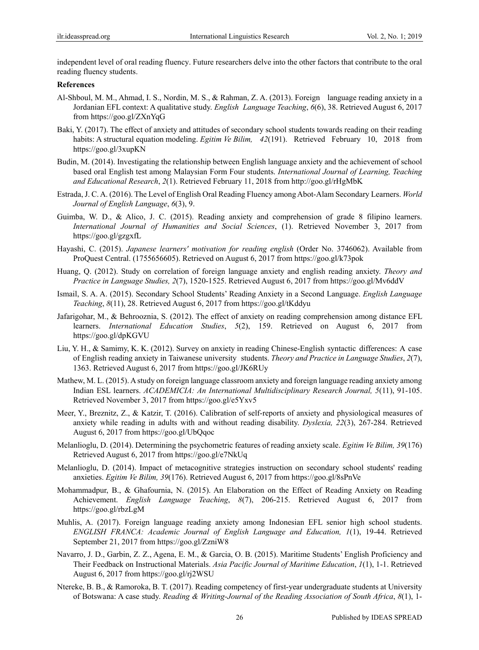independent level of oral reading fluency. Future researchers delve into the other factors that contribute to the oral reading fluency students.

#### **References**

- Al-Shboul, M. M., Ahmad, I. S., Nordin, M. S., & Rahman, Z. A. (2013). Foreign language reading anxiety in a Jordanian EFL context: A qualitative study. *English Language Teaching*, *6*(6), 38. Retrieved August 6, 2017 from https://goo.gl/ZXnYqG
- Baki, Y. (2017). The effect of anxiety and attitudes of secondary school students towards reading on their reading habits: A structural equation modeling. *Egitim Ve Bilim, 42*(191). Retrieved February 10, 2018 from https://goo.gl/3xupKN
- Budin, M. (2014). Investigating the relationship between English language anxiety and the achievement of school based oral English test among Malaysian Form Four students. *International Journal of Learning, Teaching and Educational Research*, *2*(1). Retrieved February 11, 2018 from http://goo.gl/rHgMbK
- Estrada, J. C. A. (2016). The Level of English Oral Reading Fluency among Abot-Alam Secondary Learners. *World Journal of English Language*, *6*(3), 9.
- Guimba, W. D., & Alico, J. C. (2015). Reading anxiety and comprehension of grade 8 filipino learners. *International Journal of Humanities and Social Sciences*, (1). Retrieved November 3, 2017 from https://goo.gl/gzgxfL
- Hayashi, C. (2015). *Japanese learners' motivation for reading english* (Order No. 3746062). Available from ProQuest Central. (1755656605). Retrieved on August 6, 2017 from https://goo.gl/k73pok
- Huang, Q. (2012). Study on correlation of foreign language anxiety and english reading anxiety. *Theory and Practice in Language Studies, 2*(7), 1520-1525. Retrieved August 6, 2017 from https://goo.gl/Mv6ddV
- Ismail, S. A. A. (2015). Secondary School Students' Reading Anxiety in a Second Language. *English Language Teaching*, *8*(11), 28. Retrieved August 6, 2017 from https://goo.gl/tKddyu
- Jafarigohar, M., & Behrooznia, S. (2012). The effect of anxiety on reading comprehension among distance EFL learners. *International Education Studies*, *5*(2), 159. Retrieved on August 6, 2017 from https://goo.gl/dpKGVU
- Liu, Y. H., & Samimy, K. K. (2012). Survey on anxiety in reading Chinese-English syntactic differences: A case of English reading anxiety in Taiwanese university students. *Theory and Practice in Language Studies*, *2*(7), 1363. Retrieved August 6, 2017 from https://goo.gl/JK6RUy
- Mathew, M. L. (2015). A study on foreign language classroom anxiety and foreign language reading anxiety among Indian ESL learners. *ACADEMICIA: An International Multidisciplinary Research Journal, 5*(11), 91-105. Retrieved November 3, 2017 from https://goo.gl/e5Yxv5
- Meer, Y., Breznitz, Z., & Katzir, T. (2016). Calibration of self-reports of anxiety and physiological measures of anxiety while reading in adults with and without reading disability. *Dyslexia, 22*(3), 267-284. Retrieved August 6, 2017 from https://goo.gl/UbQqoc
- Melanlioglu, D. (2014). Determining the psychometric features of reading anxiety scale. *Egitim Ve Bilim, 39*(176) Retrieved August 6, 2017 from https://goo.gl/e7NkUq
- Melanlioglu, D. (2014). Impact of metacognitive strategies instruction on secondary school students' reading anxieties. *Egitim Ve Bilim, 39*(176). Retrieved August 6, 2017 from https://goo.gl/8sPnVe
- Mohammadpur, B., & Ghafournia, N. (2015). An Elaboration on the Effect of Reading Anxiety on Reading Achievement. *English Language Teaching*, *8*(7), 206-215. Retrieved August 6, 2017 from https://goo.gl/rbzLgM
- Muhlis, A. (2017). Foreign language reading anxiety among Indonesian EFL senior high school students. *ENGLISH FRANCA: Academic Journal of English Language and Education, 1*(1), 19-44. Retrieved September 21, 2017 from https://goo.gl/ZzniW8
- Navarro, J. D., Garbin, Z. Z., Agena, E. M., & Garcia, O. B. (2015). Maritime Students' English Proficiency and Their Feedback on Instructional Materials. *Asia Pacific Journal of Maritime Education*, *1*(1), 1-1. Retrieved August 6, 2017 from https://goo.gl/rj2WSU
- Ntereke, B. B., & Ramoroka, B. T. (2017). Reading competency of first-year undergraduate students at University of Botswana: A case study. *Reading & Writing-Journal of the Reading Association of South Africa*, *8*(1), 1-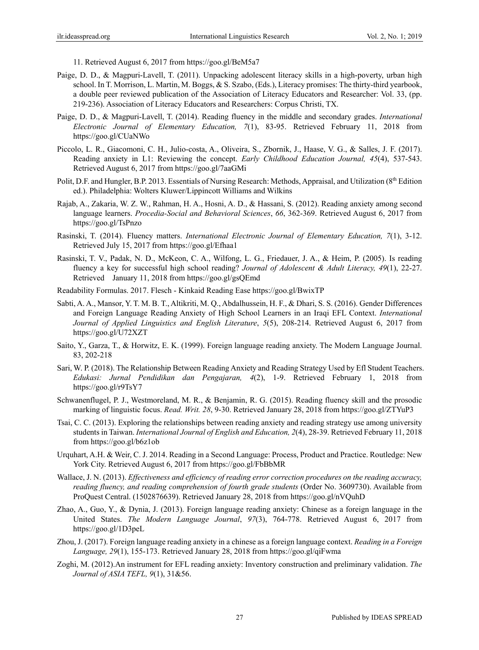11. Retrieved August 6, 2017 from https://goo.gl/BeM5a7

- Paige, D. D., & Magpuri-Lavell, T. (2011). Unpacking adolescent literacy skills in a high-poverty, urban high school. In T. Morrison, L. Martin, M. Boggs, & S. Szabo, (Eds.), Literacy promises: The thirty-third yearbook, a double peer reviewed publication of the Association of Literacy Educators and Researcher: Vol. 33, (pp. 219-236). Association of Literacy Educators and Researchers: Corpus Christi, TX.
- Paige, D. D., & Magpuri-Lavell, T. (2014). Reading fluency in the middle and secondary grades. *International Electronic Journal of Elementary Education, 7*(1), 83-95. Retrieved February 11, 2018 from https://goo.gl/CUaNWo
- Piccolo, L. R., Giacomoni, C. H., Julio-costa, A., Oliveira, S., Zbornik, J., Haase, V. G., & Salles, J. F. (2017). Reading anxiety in L1: Reviewing the concept. *Early Childhood Education Journal, 45*(4), 537-543. Retrieved August 6, 2017 from https://goo.gl/7aaGMi
- Polit, D.F. and Hungler, B.P. 2013. Essentials of Nursing Research: Methods, Appraisal, and Utilization (8<sup>th</sup> Edition ed.). Philadelphia: Wolters Kluwer/Lippincott Williams and Wilkins
- Rajab, A., Zakaria, W. Z. W., Rahman, H. A., Hosni, A. D., & Hassani, S. (2012). Reading anxiety among second language learners. *Procedia-Social and Behavioral Sciences*, *66*, 362-369. Retrieved August 6, 2017 from https://goo.gl/TsPnzo
- Rasinski, T. (2014). Fluency matters. *International Electronic Journal of Elementary Education, 7*(1), 3-12. Retrieved July 15, 2017 from https://goo.gl/Efhaa1
- Rasinski, T. V., Padak, N. D., McKeon, C. A., Wilfong, L. G., Friedauer, J. A., & Heim, P. (2005). Is reading fluency a key for successful high school reading? *Journal of Adolescent & Adult Literacy, 49*(1), 22-27. Retrieved January 11, 2018 from https://goo.gl/gsQEmd
- Readability Formulas. 2017. Flesch Kinkaid Reading Ease https://goo.gl/BwixTP
- Sabti, A. A., Mansor, Y. T. M. B. T., Altikriti, M. Q., Abdalhussein, H. F., & Dhari, S. S. (2016). Gender Differences and Foreign Language Reading Anxiety of High School Learners in an Iraqi EFL Context. *International Journal of Applied Linguistics and English Literature*, *5*(5), 208-214. Retrieved August 6, 2017 from https://goo.gl/U72XZT
- Saito, Y., Garza, T., & Horwitz, E. K. (1999). Foreign language reading anxiety. The Modern Language Journal. 83, 202-218
- Sari, W. P. (2018). The Relationship Between Reading Anxiety and Reading Strategy Used by Efl Student Teachers. *Edukasi: Jurnal Pendidikan dan Pengajaran, 4*(2), 1-9. Retrieved February 1, 2018 from https://goo.gl/r9TsY7
- Schwanenflugel, P. J., Westmoreland, M. R., & Benjamin, R. G. (2015). Reading fluency skill and the prosodic marking of linguistic focus. *Read. Writ. 28*, 9-30. Retrieved January 28, 2018 from https://goo.gl/ZTYuP3
- Tsai, C. C. (2013). Exploring the relationships between reading anxiety and reading strategy use among university students in Taiwan. *International Journal of English and Education, 2*(4), 28-39. Retrieved February 11, 2018 from https://goo.gl/b6z1ob
- Urquhart, A.H. & Weir, C. J. 2014. Reading in a Second Language: Process, Product and Practice. Routledge: New York City. Retrieved August 6, 2017 from https://goo.gl/FbBbMR
- Wallace, J. N. (2013). *Effectiveness and efficiency of reading error correction procedures on the reading accuracy, reading fluency, and reading comprehension of fourth grade students* (Order No. 3609730). Available from ProQuest Central. (1502876639). Retrieved January 28, 2018 from https://goo.gl/nVQuhD
- Zhao, A., Guo, Y., & Dynia, J. (2013). Foreign language reading anxiety: Chinese as a foreign language in the United States. *The Modern Language Journal*, *97*(3), 764-778. Retrieved August 6, 2017 from https://goo.gl/1D3peL
- Zhou, J. (2017). Foreign language reading anxiety in a chinese as a foreign language context. *Reading in a Foreign Language, 29*(1), 155-173. Retrieved January 28, 2018 from https://goo.gl/qiFwma
- Zoghi, M. (2012).An instrument for EFL reading anxiety: Inventory construction and preliminary validation. *The Journal of ASIA TEFL, 9*(1), 31&56.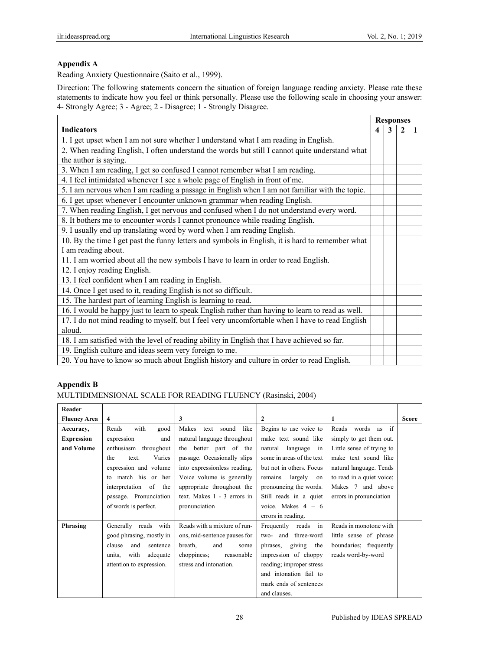# **Appendix A**

Reading Anxiety Questionnaire (Saito et al., 1999).

Direction: The following statements concern the situation of foreign language reading anxiety. Please rate these statements to indicate how you feel or think personally. Please use the following scale in choosing your answer: 4- Strongly Agree; 3 - Agree; 2 - Disagree; 1 - Strongly Disagree.

|                                                                                                  |   |   | <b>Responses</b> |  |
|--------------------------------------------------------------------------------------------------|---|---|------------------|--|
| <b>Indicators</b>                                                                                | 4 | 3 | 2                |  |
| 1. I get upset when I am not sure whether I understand what I am reading in English.             |   |   |                  |  |
| 2. When reading English, I often understand the words but still I cannot quite understand what   |   |   |                  |  |
| the author is saying.                                                                            |   |   |                  |  |
| 3. When I am reading, I get so confused I cannot remember what I am reading.                     |   |   |                  |  |
| 4. I feel intimidated whenever I see a whole page of English in front of me.                     |   |   |                  |  |
| 5. I am nervous when I am reading a passage in English when I am not familiar with the topic.    |   |   |                  |  |
| 6. I get upset whenever I encounter unknown grammar when reading English.                        |   |   |                  |  |
| 7. When reading English, I get nervous and confused when I do not understand every word.         |   |   |                  |  |
| 8. It bothers me to encounter words I cannot pronounce while reading English.                    |   |   |                  |  |
| 9. I usually end up translating word by word when I am reading English.                          |   |   |                  |  |
| 10. By the time I get past the funny letters and symbols in English, it is hard to remember what |   |   |                  |  |
| I am reading about.                                                                              |   |   |                  |  |
| 11. I am worried about all the new symbols I have to learn in order to read English.             |   |   |                  |  |
| 12. I enjoy reading English.                                                                     |   |   |                  |  |
| 13. I feel confident when I am reading in English.                                               |   |   |                  |  |
| 14. Once I get used to it, reading English is not so difficult.                                  |   |   |                  |  |
| 15. The hardest part of learning English is learning to read.                                    |   |   |                  |  |
| 16. I would be happy just to learn to speak English rather than having to learn to read as well. |   |   |                  |  |
| 17. I do not mind reading to myself, but I feel very uncomfortable when I have to read English   |   |   |                  |  |
| aloud.                                                                                           |   |   |                  |  |
| 18. I am satisfied with the level of reading ability in English that I have achieved so far.     |   |   |                  |  |
| 19. English culture and ideas seem very foreign to me.                                           |   |   |                  |  |
| 20. You have to know so much about English history and culture in order to read English.         |   |   |                  |  |

# **Appendix B**

#### MULTIDIMENSIONAL SCALE FOR READING FLUENCY (Rasinski, 2004)

| Reader              |                            |                              |                           |                           |              |
|---------------------|----------------------------|------------------------------|---------------------------|---------------------------|--------------|
| <b>Fluency Area</b> | $\overline{\mathbf{4}}$    | 3                            | $\mathbf{2}$              |                           | <b>Score</b> |
| Accuracy,           | Reads<br>with<br>good      | Makes<br>sound like<br>text  | Begins to use voice to    | Reads words as if         |              |
| <b>Expression</b>   | expression<br>and          | natural language throughout  | make text sound like      | simply to get them out.   |              |
| and Volume          | enthusiasm throughout      | the better part of the       | natural language in       | Little sense of trying to |              |
|                     | Varies<br>the<br>text.     | passage. Occasionally slips  | some in areas of the text | make text sound like      |              |
|                     | expression and volume      | into expressionless reading. | but not in others. Focus  | natural language. Tends   |              |
|                     | to match his or her        | Voice volume is generally    | remains<br>largely on     | to read in a quiet voice; |              |
|                     | interpretation of the      | appropriate throughout the   | pronouncing the words.    | Makes 7 and above         |              |
|                     | passage. Pronunciation     | text. Makes 1 - 3 errors in  | Still reads in a quiet    | errors in pronunciation   |              |
|                     | of words is perfect.       | pronunciation                | voice. Makes $4 - 6$      |                           |              |
|                     |                            |                              | errors in reading.        |                           |              |
| Phrasing            | Generally reads with       | Reads with a mixture of run- | Frequently reads in       | Reads in monotone with    |              |
|                     | good phrasing, mostly in   | ons, mid-sentence pauses for | two- and three-word       | little sense of phrase    |              |
|                     | and<br>clause<br>sentence  | and<br>breath,<br>some       | giving<br>phrases,<br>the | boundaries; frequently    |              |
|                     | with<br>units,<br>adequate | choppiness;<br>reasonable    | impression of choppy      | reads word-by-word        |              |
|                     | attention to expression.   | stress and intonation.       | reading; improper stress  |                           |              |
|                     |                            |                              | and intonation fail to    |                           |              |
|                     |                            |                              | mark ends of sentences    |                           |              |
|                     |                            |                              | and clauses.              |                           |              |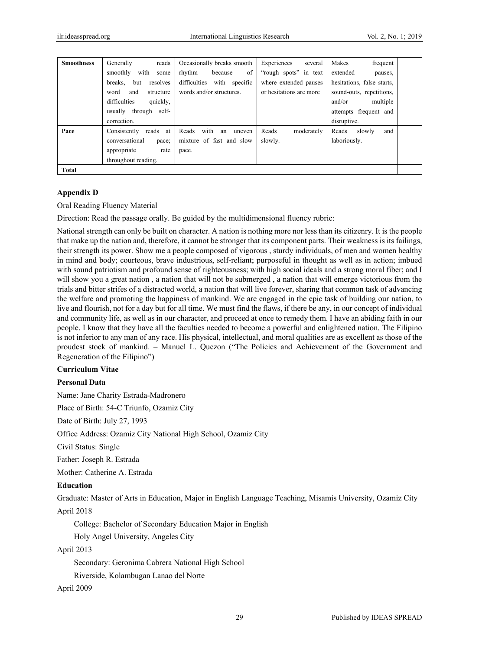| <b>Smoothness</b> | Generally<br>reads         | Occasionally breaks smooth    | Experiences<br>several  | Makes<br>frequent          |
|-------------------|----------------------------|-------------------------------|-------------------------|----------------------------|
|                   | with<br>smoothly<br>some   | rhythm<br>of<br>because       | "rough spots" in text   | extended<br>pauses,        |
|                   | breaks.<br>resolves<br>but | difficulties<br>with specific | where extended pauses   | hesitations, false starts, |
|                   | word<br>and<br>structure   | words and/or structures.      | or hesitations are more | sound-outs, repetitions,   |
|                   | difficulties<br>quickly,   |                               |                         | multiple<br>and/or         |
|                   | usually through self-      |                               |                         | attempts frequent and      |
|                   | correction.                |                               |                         | disruptive.                |
| Pace              | Consistently<br>reads at   | with<br>Reads<br>uneven<br>an | Reads<br>moderately     | Reads<br>slowly<br>and     |
|                   | conversational<br>pace;    | mixture of fast and slow      | slowly.                 | laboriously.               |
|                   | appropriate<br>rate        | pace.                         |                         |                            |
|                   | throughout reading.        |                               |                         |                            |
| Total             |                            |                               |                         |                            |

## **Appendix D**

Oral Reading Fluency Material

Direction: Read the passage orally. Be guided by the multidimensional fluency rubric:

National strength can only be built on character. A nation is nothing more nor less than its citizenry. It is the people that make up the nation and, therefore, it cannot be stronger that its component parts. Their weakness is its failings, their strength its power. Show me a people composed of vigorous , sturdy individuals, of men and women healthy in mind and body; courteous, brave industrious, self-reliant; purposeful in thought as well as in action; imbued with sound patriotism and profound sense of righteousness; with high social ideals and a strong moral fiber; and I will show you a great nation, a nation that will not be submerged, a nation that will emerge victorious from the trials and bitter strifes of a distracted world, a nation that will live forever, sharing that common task of advancing the welfare and promoting the happiness of mankind. We are engaged in the epic task of building our nation, to live and flourish, not for a day but for all time. We must find the flaws, if there be any, in our concept of individual and community life, as well as in our character, and proceed at once to remedy them. I have an abiding faith in our people. I know that they have all the faculties needed to become a powerful and enlightened nation. The Filipino is not inferior to any man of any race. His physical, intellectual, and moral qualities are as excellent as those of the proudest stock of mankind. – Manuel L. Quezon ("The Policies and Achievement of the Government and Regeneration of the Filipino")

#### **Curriculum Vitae**

#### **Personal Data**

Name: Jane Charity Estrada-Madronero

Place of Birth: 54-C Triunfo, Ozamiz City

Date of Birth: July 27, 1993

Office Address: Ozamiz City National High School, Ozamiz City

Civil Status: Single

Father: Joseph R. Estrada

Mother: Catherine A. Estrada

#### **Education**

Graduate: Master of Arts in Education, Major in English Language Teaching, Misamis University, Ozamiz City April 2018

College: Bachelor of Secondary Education Major in English

Holy Angel University, Angeles City

#### April 2013

Secondary: Geronima Cabrera National High School

Riverside, Kolambugan Lanao del Norte

April 2009